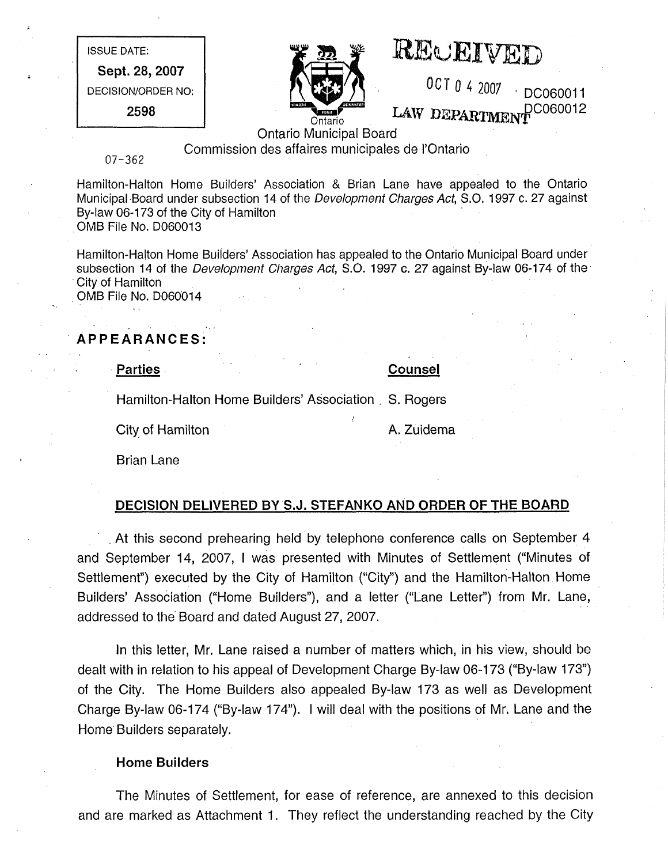ISSUE DATE: Sept. 28, 2007 DECISION/ORDER NO: 2598



# REwEI VED

0 CT 0 4 2007 DC060011 LAW DEPARTMENT<sup>DC060012</sup>

Ontario Municipal Board

Commission des affaires municipales de I'Ontario

07-362

Hamilton-Halton Home Builders' Association & Brian Lane have appealed to the Ontario Municipal Board under subsection 14 of the Development Charges Act, S.O. 1997 c. 27 against By-law 06-173 of the City of Hamilton OMB File No. D060013

Hamilton-Halton Home Builders' Association has appealed to the Ontario Municipal Board under subsection 14 of the Development Charges Act, S.O. 1997 c. 27 against By-law 06-174 of the City of Hamilton OMB File No. D0600i4

APPEARANCES:

• Parties Counsel

Hamilton-Halton Home Builders' Association S. Rogers

City of Hamilton **A. Zuidema** 

Brian Lane

# DECISION DELIVERED BY S.J. STEFANKO AND ORDER OF THE BOARD

/

At this second prehearing held by telephone conference calls on September 4 and September 14, 2007, I was presented with Minutes of Settlement ("Minutes of Settlement") executed by the City of Hamilton ("City") and the Hamilton-Halton Home Builders' Association ("Home Builders"), and a letter ("Lane Letter") from Mr. Lane, addressed to the Board and dated August 27, 2007.

In this letter, Mr. Lane raised a number of matters which, in his view, should be dealt with in relation to his appeal of Development Charge By-law 06-173 ("By-law 173") of the City. The Home Builders also appealed By-law 173 as well as Development Charge By-law 06-174 ("By-law 174"). I will deal with the positions of Mr. Lane and the Home Builders separately.

# Home Builders

The Minutes of Settlement, for ease of reference, are annexed to this decision and are marked as Attachment 1. They reflect the understanding reached by the City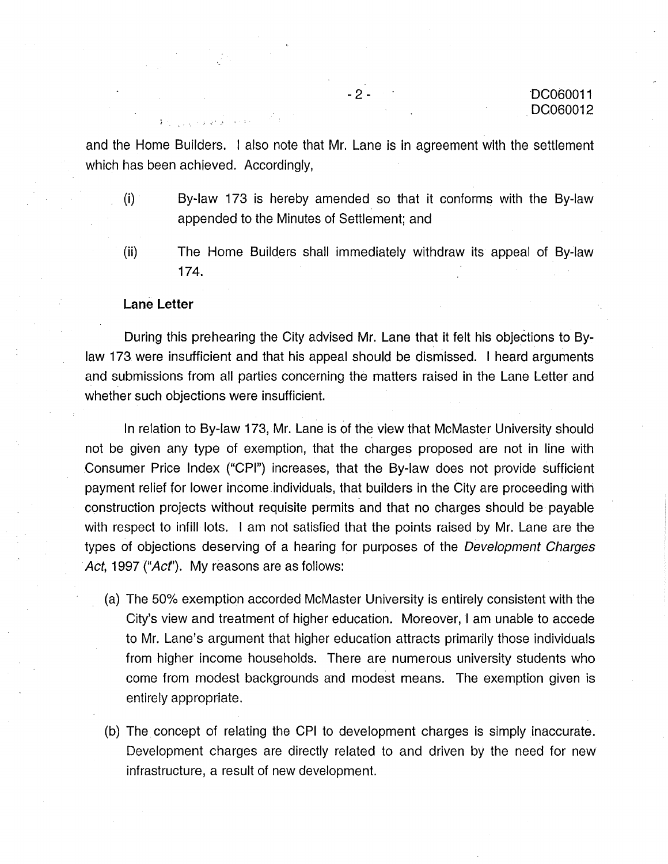and the Home Builders. I also note that Mr. Lane is in agreement with the settlement which has been achieved. Accordingly,

- (i) By-law 173 is hereby amended so that it conforms with the By-law appended to the Minutes of Settlement; and
- (ii) The Home Builders shall immediately withdraw its appeal of By-law 174.

### Lane Letter

During this prehearing the City advised Mr. Lane that it felt his objections to Bylaw 173 were insufficient and that his appeal should be dismissed. I heard arguments and submissions from all parties concerning the matters raised in the Lane Letter and whether such objections were insufficient.

In relation to By-law 173, Mr. Lane is of the view that McMaster University should not be given any type of exemption, that the charges proposed are not in line with Consumer Price Index ("CPI") increases, that the By-law does not provide sufficient payment relief for lower income individuals, that builders in the City are proceeding with construction projects without requisite permits and that no charges should be payable with respect to infill lots. I am not satisfied that the points raised by Mr. Lane are the types of objections deserving of a hearing for purposes of the Development Charges Act, 1997 ("Act"). My reasons are as follows:

- (a) The 50% exemption accorded McMaster University is entirely consistent with the City's view and treatment of higher education. Moreover, I am unable to accede to Mr. Lane's argument that higher education attracts primarily those individuals from higher income households. There are numerous university students who come from modest backgrounds and modest means. The exemption given is entirely appropriate.
- (b) The concept of relating the CPI to development charges is simply inaccurate. Development charges are directly related to and driven by the need for new infrastructure, a result of new development.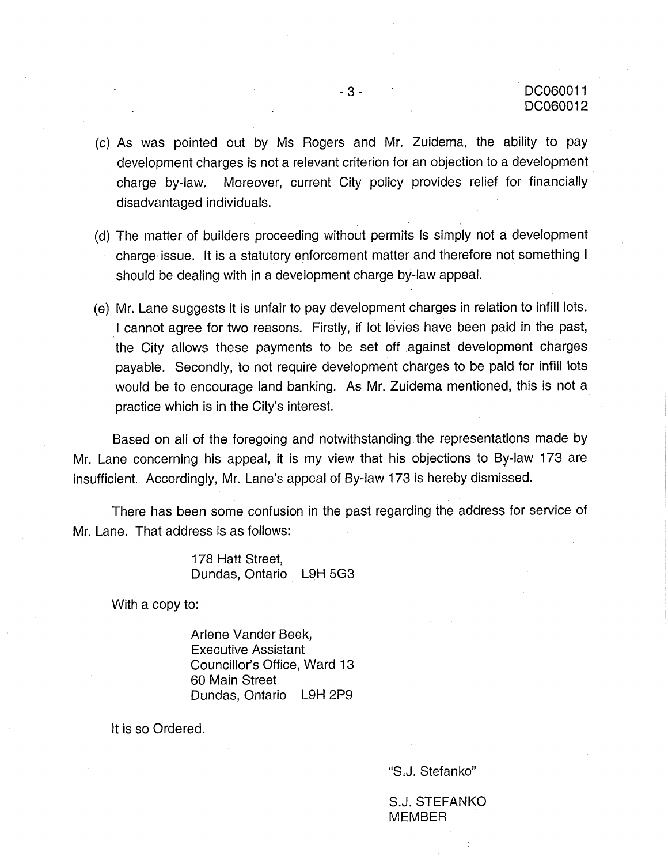- (c) As was pointed out by Ms Rogers and Mr. Zuidema, the ability to pay development charges is not a relevant criterion for an objection to a development charge by-law. Moreover, current City policy provides relief for financially disadvantaged individuals.
- (d) The matter of builders proceeding without permits is simply not a development charge issue. It is a statutory enforcement matter and therefore not something I should be dealing with in a development charge by-law appeal.
- (e) Mr. Lane suggests it is unfair to pay development charges in relation to infill lots. I cannot agree for two reasons. Firstly, if lot levies have been paid in the past, the City allows these payments to be set off against development charges payable. Secondly, to not require development charges to be paid for infill lots would be to encourage land banking. As Mr. Zuidema mentioned, this is not a practice which is in the City's interest.

Based on all of the foregoing and notwithstanding the representations made by Mr. Lane concerning his appeal, it is my view that his objections to By-law 173 are insufficient. Accordingly, Mr. Lane's appeal of By-law 173 is hereby dismissed.

There has been some confusion in the past regarding the address for service of Mr. Lane. That address is as follows:

> 178 Hatt Street, Dundas, Ontario L9H 5G3

With a copy to:

Arlene Vander Beek, Executive Assistant Councillor's Office, Ward 13 60 Main Street Dundas, Ontario L9H 2P9

It is so Ordered.

"S.J. Stefanko"

S.J. STEFANKO **MEMBER**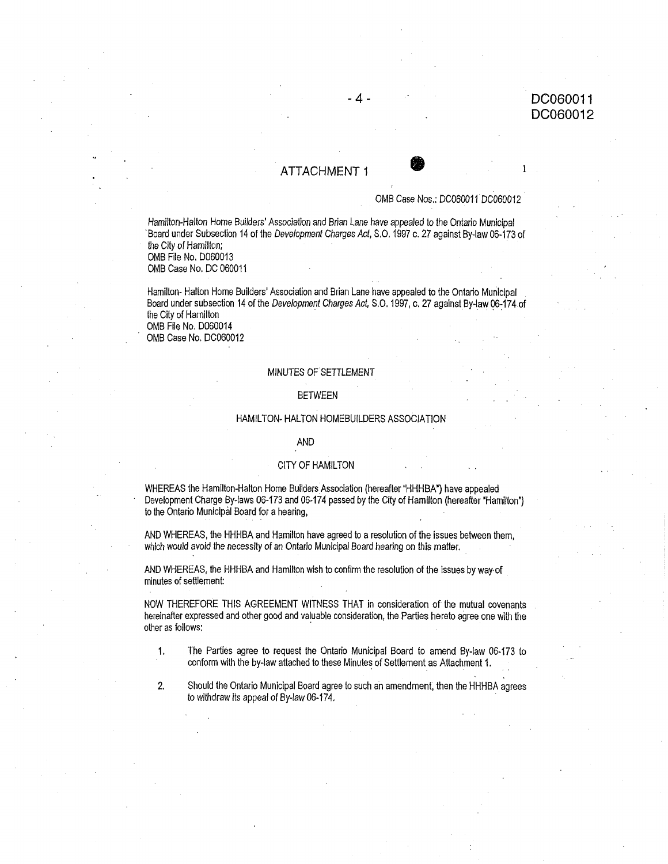## ATTACHMENT 1 **O** 1

### OMB Case Nos.: DC060011 DC060012

Hamilton.Halton Home Builders' Association and Brian Lane have appealed Io the Ontario Municipal Board under Subsection 14 of the Development Charges Act, S.C. 1997 c. 27 against By-law 06-173 of the City of Hamilton;

OMB File No, D060013 OMB Case No, DC 060011

Hamilton- Halton Home Builders' Association and Brian Lane have appealed to the Ontario Municipal Board under subsection 14 of the Development Charges Act, S.O. 1997, c. 27 against By-law 06-174 of the City of Hamilton OMB File No. D060014

OMB Case No. DC060012

### MINUTES OF SETTLEMENT

### BETWEEN

### HAMILTON- HALTON HOMEBUILDERS ASSOCIATION

### AND

### CITY OF HAMILTON

WHEREAS the Hamilton-Halton Home Builders Association (hereafter"HHHBA') have appealed Development Charge By-laws 06-173 and 06-174 passed by the City of Hamilton (hereafter "Hamilton") to the Ontario Municipal Board for a hearing,

AND WHEREAS, the HHHBA and Hamilton have agreed to a resolution of the issues between them, which would avoid the necessity of an Ontario Municipal Board hearing on this matter.

AND WHEREAS, the HHHBA and Hamilton wish to confirm the resolution of the issues by way.of minutes of settlement:

NOW THEREFORE THIS AGREEMENT WITNESS THAT in consideration of the mutual covenants hereinafter expressed and other good and valuable consideration, the Parties hereto agree one with the other as follows:

- , The Parties agree to request the Ontario Municipal Board to amend By-law 06-173 to conform with the by-law attached to these Minutes of Settlement as Attachment 1.
- , Should the Ontario Municipal Board agree to such an amendment, then the HHHBA agrees to withdraw its appeal of By-law 06-174.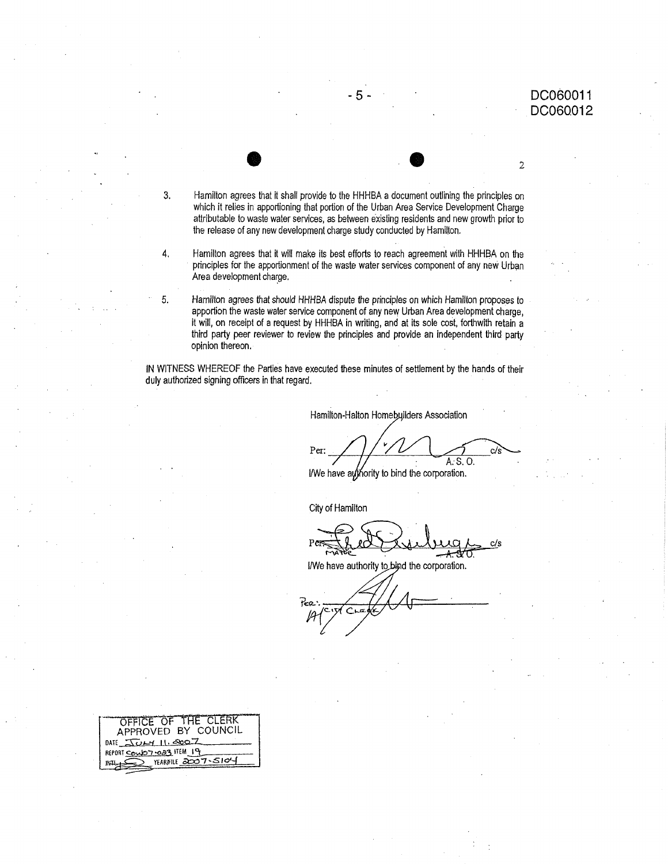$\overline{2}$ 

Hamilton agrees that it shall provide to the HHHBA a document outlining the principles on which it relies in apportioning that portion of the Urban Area Service Development Charge attributable to waste water services, as between existing residents and new growth prior to the release of any new development charge study conducted by Hamilton.

-5-

4. Hamilton agrees that it will make its best efforts to reach agreement with HHHBA on the principles for the apportionment of the waste water services component of any new Urban Area development charge.

Hamilton agrees that should HHHBA dispute the principles on which Hamilton proposes to apportion the waste water service component of any new Urban Area development charge, it will, on receipt of a request by HHHBA in writing, and at its sole cost, forthwith retain a third party peer reviewer to review the principles and provide an independent third party opinion thereon.

IN WITNESS WHEREOF the Parties have executed these minutes of settlement by the hands of their duly authorized signing officers in that regard.

Hamilton-Halton Homebuilders Association

Per: A. S. O.

I/We have authority to bind the corporation.

City of Hamilton

c/s

I/We have authority to bind the corporation.

| OFFICE OF THE CLERK       |
|---------------------------|
| APPROVED BY COUNCIL       |
| DATE $\sqrt{U}$           |
| REPORT COMOT -023 ITEM 19 |
| YEARPILE 2007-5104        |

 $3.$ 

5.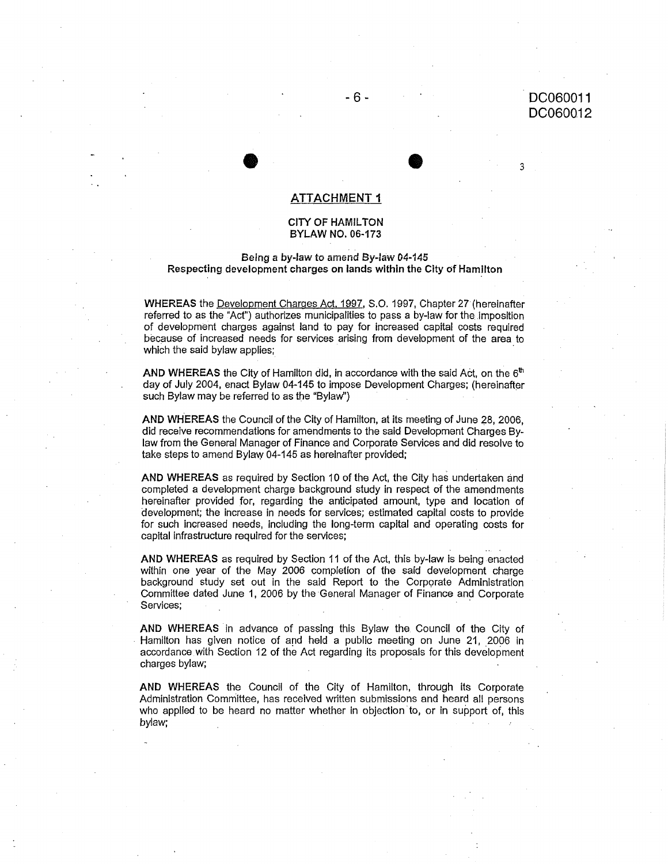# -6- DC060011 DC060Q12

3

### ATTACHMENT 1

 $\bullet$   $\bullet$ 

### CITY OF HAMILTON BYLAW NO. 06-173

### Being a by-law to amend By-law 04-145 Respecting development charges on lands within the City of Hamilton

WHEREAS the Development Charges Act. 1997, S.O. 1997, Chapter 27 (hereinafter referred to as the "Act") authorizes municipalities to pass a by-law for the imposition of development charges against land to pay for increased capital costs required because of increased needs for services arising from development of the area to which the said bylaw applies;

AND WHEREAS the City of Hamilton did, in accordance with the said Act, on the  $6<sup>th</sup>$ day of July 2004, enact Bylaw 04-145 to impose Development Charges; (hereinafter such Bylaw may be referred to as the "Bylaw")

AND WHEREAS the Council of the City of Hamilton, at its meeting of June 28, 2006, did receive recommendations for amendments to the said Development Charges Bylaw from the General Manager of Finance and Corporate Services and did resolve to take steps to amend Bylaw 04-145 as hereinafter provided;

AND WHEREAS as required by Section 10 of the Act, the City has undertaken and completed a development charge background study in respect of the amendments hereinafter provided for, regarding the anticipated amount, type and location of development; the increase in needs for services; estimated capital costs to provide for such increased needs, including the long-term capital and operating costs for capital infrastructure required for the services;

AND WHEREAS as required by Section 11 of the Act, this by-law is being enacted within one year of the May 2006 completion of the said development charge background study set out in the said Report to the Corporate Administration Committee dated June 1, 2006 by the General Manager of Finance and Corporate Services;

AND WHEREAS in advance of passing this Bylaw the Council of the City of • Hamilton has given notice of and held a public meeting on June 21, 2006 in accordance with Section 12 of the Act regarding its proposals for this development charges bylaw;

AND WHEREAS the Council of the City of Hamilton, through its Corporate Administration Committee, has received written submissions and heard all persons who applied to be heard no matter whether in objection to, or in support of, this bylaw;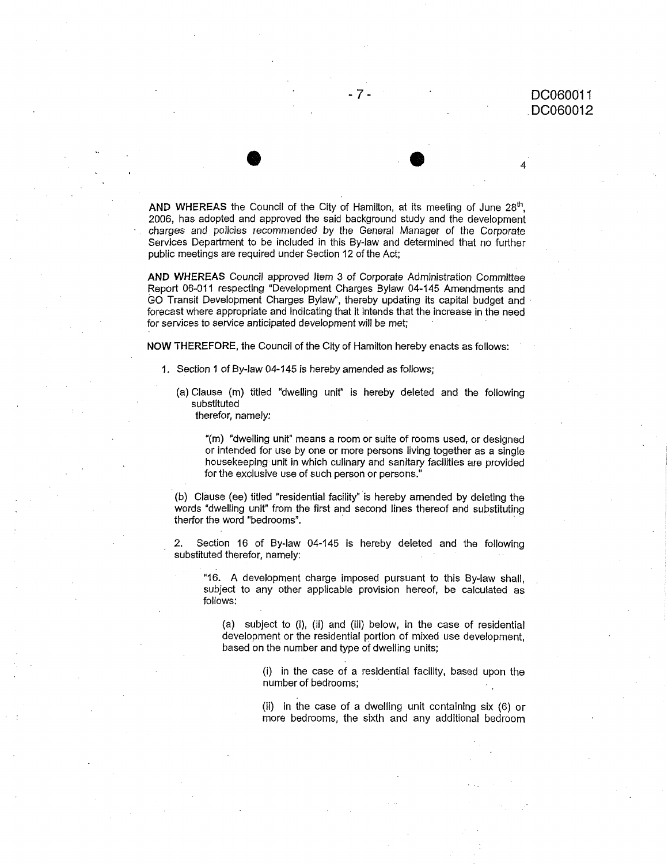AND WHEREAS the Council of the City of Hamilton, at its meeting of June  $28<sup>th</sup>$ , 2006, has adopted and approved the said background study and the development charges and policies recommended by the General Manager of the Corporate Services Department to be included in this By-law and determined that no further public meetings are required under Section 12 of the Act;

 $\bullet$ 

AND WHEREAS Council approved Item 3 of Corporate Administration Committee Report 06-011 respecting "Development Charges Bylaw 04-145 Amendments and GO Transit Development Charges Bylaw", thereby updating its capital budget and forecast where appropriate and indicating that it intends that the increase in the need for services to service anticipated development will be met;

NOW THEREFORE, the Council of the City of Hamilton hereby enacts as follows:

- 1. Section 1 of By-law 04-145 is hereby amended as follows;
	- (a) Clause (m) titled "dwelling unit" is hereby deleted and the following substituted

therefor, namely:

"(m) "dwelling unit" means a room or suite of rooms used, or designed or intended for use by one or more persons living together as a single housekeeping unit in which culinary and sanitary facilities are provided for the exclusive use of such person or persons."

words "dwelling unit" from the first and second lines thereof and substituting therfor the word "bedrooms".

• (b) Clause (ee) titled "residential facility" •is hereby amended by deleting the

2. Section 16 of By-law 04-145 is hereby deleted and the following substituted therefor, namely:

"16. A development charge imposed pursuant to this By-law shall, subject to any other applicable provision hereof, be calculated as follows:

(a) subject to (i), (ii) and (iii) below, in the case of residential development or the residential portion of mixed use development, based on the number and type of dwelling units;

(i) in the case of a residential facility, based upon the<br>number of bedrooms;

(ii) in ihe case of a dwelling unit containing six (6) or more bedrooms, the sixth and any additional bedroom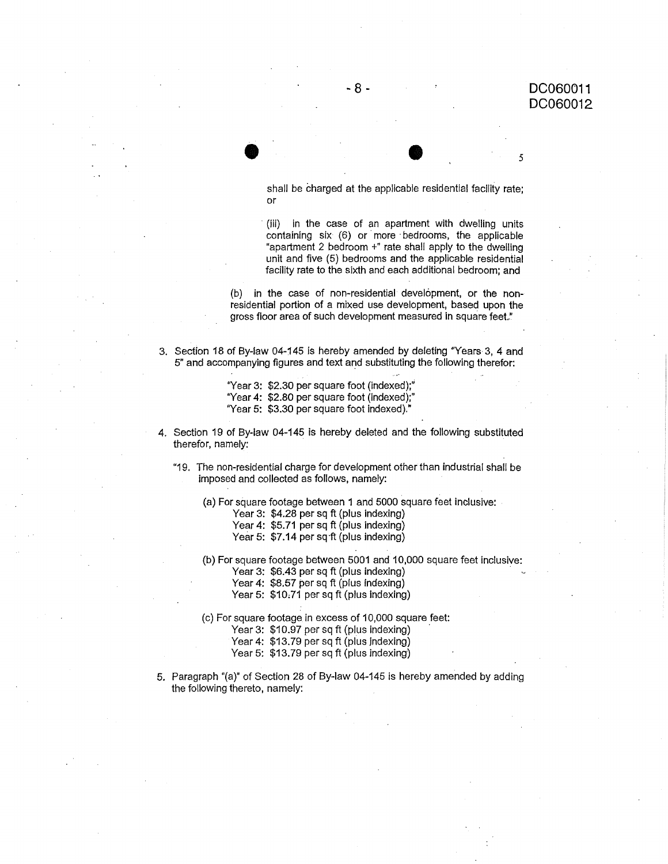5

shall be charged at the applicable residential facility rate; or

(iii) in the case of an apartment with dwelling units containing six (6) or more-bedrooms, the applicable "apartment 2 bedroom +" rate shall apply to the dwelling unit and five (5) bedrooms and the applicable residential facility rate to the sixth and each additional bedroom; and

(b) in the case of non-residential development, or the nonresidential portion of a mixed use development, based upon the gross floor area of such development measured in square feet."

° Section 18 of By-law 04-145 is hereby amended by deleting "Years 3, 4 and 5" and accompanying figures and text and substituting the following therefor:

 $\bullet$   $\bullet$ 

- "Year 3: \$2.30 per square foot (indexed);"
- "Year 4: \$2.80 per square foot (indexed);"
- "Year 5: \$3.30 per square foot indexed)."
- , Section 19 of By-law 04-145 is hereby deleted and the following substituted therefor, namely:
	- "19. The non-residential charge for development other than industrial shall be imposed and collected as follows, namely:
		- (a) For square footage between 1 and 5000 square feet inclusive:
			- Year 3: \$4.28 per sq ft (plus indexing)
			- Year 4: \$5.71 per sq ft (plus indexing)
			- Year 5: \$7.14 per sq ft (plus indexing)
		- (b) For square footage between 5001 and 10,000 square feet inclusive:
			- Year 3: \$6.43 per sq ft (plus indexing)
			- Year 4: \$8.57 per sq ft (plus indexing)
			- Year 5: \$10,71 per sq ft (plus indexing)
		- (c) For square footage in excess of 10,000 square.feet:
			- Year 3: \$10.97 per sq ft (plus indexing)
			- Year 4: \$13.79 per sq ft (plus indexing)
			- Year 5: \$13.79 per sq ft (plus indexing)
- , Paragraph "(a)" of Section 28 of By-law 04-145 is hereby amended by adding the following thereto, namely: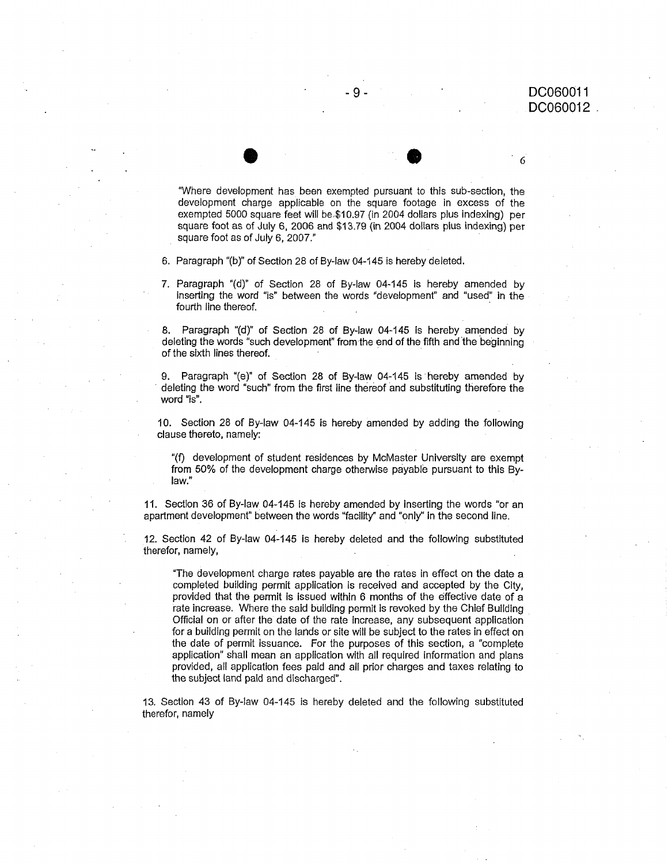"Where development has been exempted pursuant to this sub-section, the development charge applicable on the square footage in excess of the exempted 5000 square feet will be,\$10.97 (in 2004 dollars plus indexing) per square foot as of July 6, 2006 and \$13.79 (in 2004 dollars plus indexing) per square foot as of July 6, 2007."

 $\bullet$ 

6. Paragraph "(b)" of Section 28 of By-law 04-145 is hereby deleted.

7. Paragraph "(d)" of Section 28 of By-law 04-145 is hereby amended by inserting the word "is" between the words "development" and "used" in the fourth line thereof.

8. Paragraph "(d)" of Section 28 of By-law 04-145 is hereby amended by deleting the words "such development" from the end of the fifth and the beginning of the sixth lines thereof.

9. Paragraph "(e)" of Section 28 of By-law 04-145 is hereby amended by deleting the word "such" from the first line thereof and substituting therefore the word "is".

10. Section 28 of By-law 04-145 is hereby amended by adding the following clause thereto, namely:

"(f) development of student residences by McMaster University are exempt from 50% of the development charge otherwise payable pursuant to this Bylaw."

11. Section 36 of By-law 04-145 is hereby amended by inserting the words "or an apartment development" between the words "facility" and "only" in the second line.

12. Section 42 of By-law 04-145 is hereby deleted and the following substituted therefor, namely,

"The development charge rates payable are the rates in effect on the date a completed building permit application is received and accepted by the City, provided that the permit is issued within 6 months of the effective date of a rate increase. Where the said building permit is revoked by the Chief Building Official on or after the date of the rate increase, any subsequent application for a building permit on the lands or site will be subject to the rates in effect on the date of permit issuance. For the purposes of this section, a "complete application" shall mean an application with all required information and plans provided, all application fees paid and all prior charges and taxes relating to the subject land paid and discharged".

13. Section 43 of By-law 04-145 is hereby deleted and the following substituted therefor, namely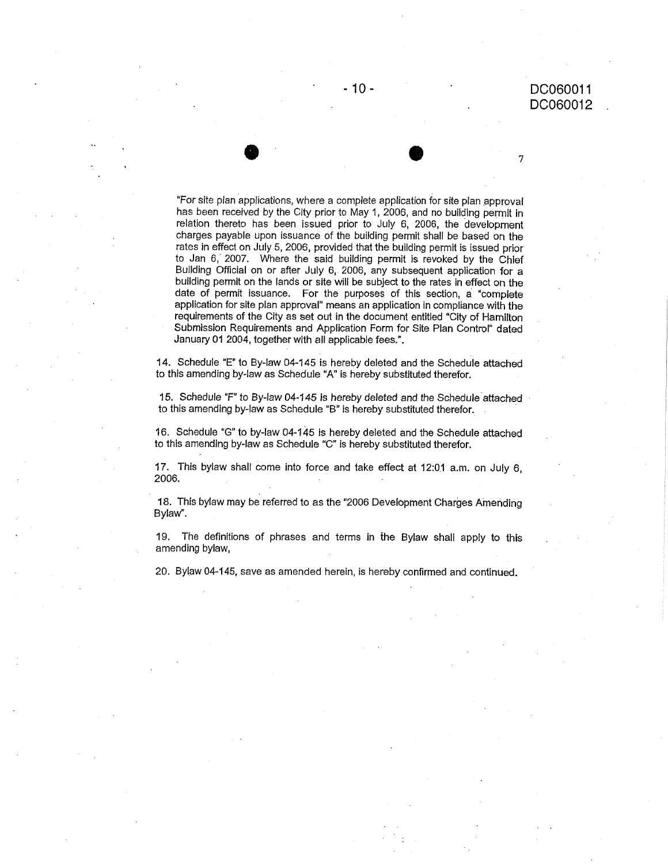7

"For site plan applications, where a complete application for site plan approval has been received by the City prior to May 1, 2006, and no building permit in relation thereto has been issued prior to July 6, 2006, the development charges payable upon issuance of the building permit shall be based on the rates in effect on July 5, 2006, provided that the building permit is issued prior to Jan 6, 2007. Where the said building permit is revoked by the Chief Building Official on or after July 6, 2006, any subsequent application for a building permit on the lands or site will be subject to the rates in effect on the date of permit issuance. For the purposes of this section, a "complete application for site plan approval" means an application in compliance with the requirements of the City as set out in the document entitled "City of Hamilton Submission Requirements and Application Form for Site Plan Control" dated January 01 2004, together with all applicable fees.".

14. Schedule "E" to By-law 04-145 is hereby deleted and the Schedule attached to this amending by-law as Schedule "A" is hereby substituted therefor.

15. Schedule "F" to By-law 04-145 is hereby deleted and the Schedule attached to this amending by-law as Schedule "B" is hereby substituted therefor.

16. Schedule "G" to by-law 04-145 is hereby deleted and the Schedule attached to this amending by-law as Schedule "C" is hereby substituted therefor.

17. This bylaw shall Come into force and take effect at 12:01 a.m. on July 6, 2006.

18. This bylaw may be referred to as the "2006 Development Charges Amending Bylaw".

19. The definitions of phrases and terms in the Bylaw shall apply to this amending bylaw,

20. Bylaw 04-145, save as amended herein, is hereby confirmed and continued.

• •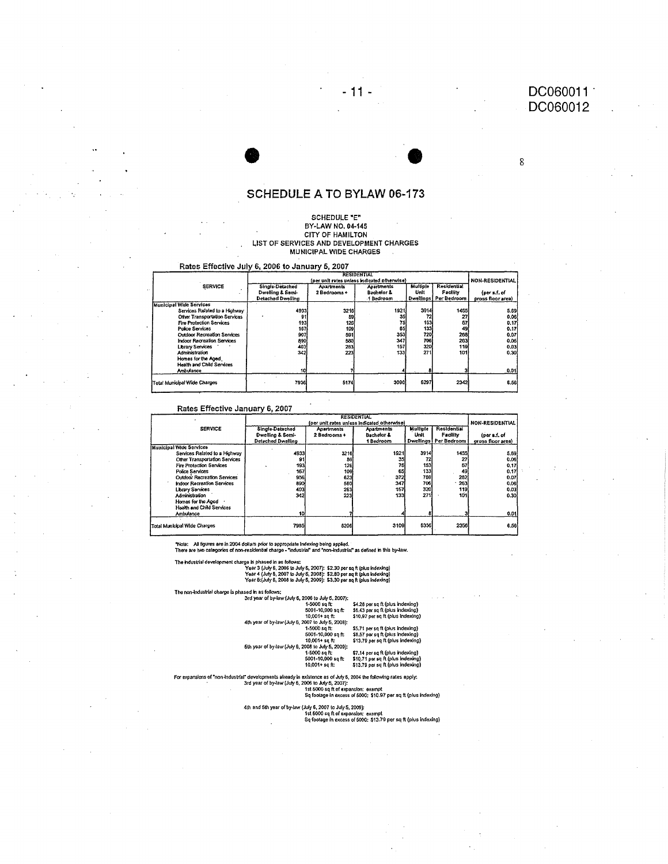8

### SCHEDULE A TO BYLAW 06-173

 $-11 -$ 

#### SCHEDULE "E" BY-LAW NO. 04-145 CITY OF HAMILTON LIST OF SERVICES AND DEVELOPMENT CHARGES MUNICIPAL WIDE CHARGES

Rates Effective July 6, 2006 to January 5, 2007

| Single-Detached<br>Dwelling & Semi-<br>Detached Dwelling | <b>Apartments</b><br>2 Bedrooms +                                                                    | (per unit rates unless indicated otherwise)<br>Apartments<br><b>Bachelor &amp;</b> | Mulliple                                       | Residential                                            | NON-RESIDENTIAL                                         |
|----------------------------------------------------------|------------------------------------------------------------------------------------------------------|------------------------------------------------------------------------------------|------------------------------------------------|--------------------------------------------------------|---------------------------------------------------------|
|                                                          |                                                                                                      |                                                                                    |                                                |                                                        |                                                         |
|                                                          |                                                                                                      |                                                                                    | Unit                                           | Facility                                               | (per s.f. of                                            |
|                                                          |                                                                                                      | 1 Bedroom                                                                          |                                                | Dwellings   Per Bedroom                                | pross floor area)                                       |
|                                                          |                                                                                                      |                                                                                    |                                                |                                                        |                                                         |
|                                                          |                                                                                                      |                                                                                    |                                                |                                                        | 5.69                                                    |
|                                                          |                                                                                                      | 35                                                                                 |                                                | 27                                                     | 0.06                                                    |
|                                                          |                                                                                                      | 75                                                                                 | 153                                            | 57                                                     | 0.17                                                    |
|                                                          |                                                                                                      | 65                                                                                 |                                                |                                                        | 0.17                                                    |
|                                                          | 591                                                                                                  |                                                                                    |                                                |                                                        | 0.07                                                    |
|                                                          |                                                                                                      |                                                                                    | 706                                            |                                                        | 0.06                                                    |
|                                                          |                                                                                                      |                                                                                    | 320                                            |                                                        | 0.03                                                    |
|                                                          | 223                                                                                                  |                                                                                    | 271                                            | 101                                                    | 0.30                                                    |
|                                                          |                                                                                                      |                                                                                    |                                                |                                                        |                                                         |
|                                                          |                                                                                                      |                                                                                    |                                                |                                                        |                                                         |
|                                                          |                                                                                                      |                                                                                    |                                                |                                                        | 0.01                                                    |
|                                                          |                                                                                                      |                                                                                    | 6297                                           |                                                        | 6.56                                                    |
|                                                          | Services Related to a Highway<br>Other Transportation Services<br><b>Outdoor Recreation Services</b> | 4933<br>193<br>167<br>907<br>890<br>403<br>342<br>10<br>7936                       | 3216<br>59<br>126<br>109<br>580<br>263<br>5174 | 1921<br>133<br>720<br>353<br>347<br>157<br>133<br>3090 | 3914<br>1455<br>49<br><b>268i</b><br>263<br>119<br>2342 |

#### Rates Effective January 6, 2007

|                                   |                          | <b>NON-RESIDENTIAL</b>                      |                       |          |                         |                   |  |
|-----------------------------------|--------------------------|---------------------------------------------|-----------------------|----------|-------------------------|-------------------|--|
|                                   |                          | (per unit rates unless indicated otherwise) |                       |          |                         |                   |  |
| <b>SERVICE</b>                    | Single-Detached          | <b>Apartments</b>                           | <b>Apartments</b>     | Multiple | <b>Residential</b>      |                   |  |
|                                   | Dwelling & Semi-         | 2 Bedrooms +                                | <b>Bachelor &amp;</b> | Unit     | Facility                | (per s.f. of      |  |
|                                   | <b>Detached Dwellino</b> |                                             | 1 Bedroom             |          | Dwellings   Per Bedroom | gross floor area) |  |
| <b>Municipal Wide Services</b>    |                          |                                             |                       |          |                         |                   |  |
| Services Related to a Highway     | 4933                     | 3216                                        | 1921                  | 3914     | 1455                    | 5.59              |  |
| Other Transportation Services     | 91                       | 59                                          | 35                    | 72       |                         | 0.06              |  |
| Fire Protection Services          | 193                      | 126                                         | 75                    | 153      | 57                      | 0.17              |  |
| <b>Police Services</b>            | 167                      | 109                                         | 65                    | 133      | 49                      | 0.17              |  |
| Outdoor Recreation Services       | 956                      | 623                                         | 372                   | 759      | 282                     | 0.07              |  |
| <b>Indoor Recreation Services</b> | 890                      | 580                                         | 347                   | 706      | 263                     | 0.06              |  |
| Library Services                  | 403                      | 263                                         | 157                   | 320      | 119                     | 0.03              |  |
| Administration                    | 342                      | 223                                         | 133                   | 271      | 101                     | 0.301             |  |
| Homes for the Aged                |                          |                                             |                       |          |                         |                   |  |
| Health and Child Services         |                          |                                             |                       |          |                         |                   |  |
| Ambulance                         | 10                       |                                             |                       |          |                         | 0.01              |  |
| Total Municipal Wide Charges      | 7985                     | 5206                                        | 3109                  | 6336     | 2356                    | 6.56              |  |
|                                   |                          |                                             |                       |          |                         |                   |  |

relopment charge is phased in as follows:<br>Yoar 3 (July 6, 2006 to July 5, 2007): \$2.30 per sq ft (plus indexing)<br>Year 4 (July 6, 2007 to July 5, 2008): \$2.80 per sq ft (plus indexing)<br>Year 5:(July 6, 2008): \$3.30 per sq f The industrial de

Year 5(Juty b, 2000; b July 5, 2007);<br>
Year of by-law (July 6, 2006 to July 5, 2007);<br>
3rd year of by-law (July 6, 2006 to July 5, 2007);<br>
5001-10,000 sq ft: \$6.43 per sq ft (plus indexing)<br>
10,001 + sq ft:<br>
5000 to Lay 5

For expansions of "non-industrial" developments already in existence as of July 6, 2004 the following rates apply.<br>3rd year of by-law (July 6, 2006 to July 6, 2007):<br>1st 5000 sq ft of expansion: exempt<br>5q footage in excess

4th and 5th year of by-law (July 6, 2007 to July 5, 2009):<br>1st 5000 sq ft of expansion: exempt<br>6q footage in excess of 5000: \$13.79 per sq ft (plus indexing)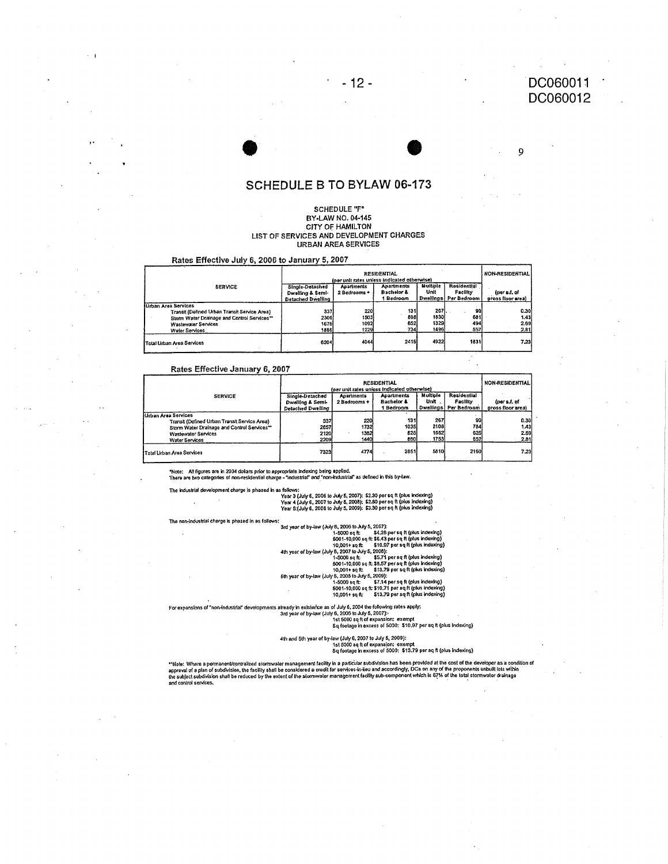9

### **SCHEDULE B TO BYLAW 06-173**

 $-12-$ 

### SCHEDULE "F"<br>BY-LAW NO. 04-145 CITY OF HAMILTON LIST OF SERVICES AND DEVELOPMENT CHARGES **URBAN AREA SERVICES**

#### Rates Effective July 6, 2006 to January 5, 2007

|                                              | <b>RESIDENTIAL</b><br>(per unit rates unless indicated otherwise) |                   |                                  |                   |                                | <b>NON-RESIDENTIAL</b>            |
|----------------------------------------------|-------------------------------------------------------------------|-------------------|----------------------------------|-------------------|--------------------------------|-----------------------------------|
| <b>SERVICE</b>                               | Single-Detached                                                   | <b>Apartments</b> | <b>Apartments</b>                | Multiple          | Residential                    |                                   |
|                                              | Dwelling & Semi-                                                  | 2 Bedrooms +      | <b>Bachelor &amp;</b><br>Bedroom | Unit<br>Dwallings | <b>Facility</b><br>Per Bedroom | (per s.f. of<br>gross floor areal |
|                                              | <b>Detached Dwelling</b>                                          |                   |                                  |                   |                                |                                   |
| <b>Urban Area Services</b>                   |                                                                   |                   |                                  |                   |                                |                                   |
| Transit (Defined Urban Transit Service Area) | 337                                                               | 220               | 131                              | 267.              | 99                             | 0.30                              |
| Storm Water Drainage and Control Services**  | 2306                                                              | 1503)             | 898                              | 1830              | 681                            | 1.43                              |
| <b>Wastewater Services</b>                   | 1675                                                              | 1092              | 652                              | 1329              | 494                            | 2.69                              |
| <b>Water Services</b>                        | 1886                                                              | 1229              | 734                              | 1496              | 557                            | 2.81                              |
| <b>Total Urban Area Services</b>             | 6204                                                              | 4044              | 2415                             | 4922              | 1831                           | 7.23                              |

#### Rates Effective January 6, 2007

|                                              | <b>RESIDENTIAL</b><br>(per unit rates unless indicated otherwise) |              |                                  |          |                                    | <b>NON-RESIDENTIAL</b>            |
|----------------------------------------------|-------------------------------------------------------------------|--------------|----------------------------------|----------|------------------------------------|-----------------------------------|
| <b>SERVICE</b>                               | Single-Detached                                                   | Apartments   | Apartments                       | Multiple | Residential                        |                                   |
|                                              | Dwelling & Semi-<br>Detached Dwelling                             | 2 Bedrooms + | <b>Bachelor &amp;</b><br>Bedroom | Unit     | Facility<br>Dwellings! Per Bedroom | (per s.f. of<br>gross floor area) |
| Urban Area Services                          |                                                                   |              |                                  |          |                                    |                                   |
| Transit (Defined Urban Transit Service Area) | 337                                                               | 220          | 131                              | 267      | 99                                 | 0.30                              |
| Storm Water Drainage and Control Services**  | 2657                                                              | 1732         | 1035                             | 2108     | 784                                | 1.43                              |
| <b>Wastewater Services</b>                   | 2120                                                              | 1382         | 825                              | 1682     | 625                                | 2.69                              |
| Water Services                               | 2209                                                              | 1440         | 860                              | 1753     | 652                                | 2.81                              |
| Total Urban Area Services                    | 7323                                                              | 4774         | 2851                             | 5810     | 2160                               | 7.23                              |

\*Note; All figures are in 2004 dokars prior to appropriate indexing being applied.<br>There are two categories of non-residential charge - "industrial" and "non-industrial" as defined in this by-law.

The industrial development charge is phased in as follows:<br>Year 3 (July 6, 2006 to July 5, 2007): \$2.30 per sq ft (plus indexing)<br>Year 4 (July 6, 2007 to July 5, 2008): \$2.80 per sq ft (plus indexing)<br>Year 5 (July 6, 2008

The non-industrial charge is phased in as follows:

3.<br>
3. 3rd year of by-law (July 5, 2005 to July 5, 2007):<br>
1-5000 sq ft: \$4.26 per sq ft (plus indexing)<br>  $1-5000$  sq ft: \$6.43 per sq ft (plus indexing)<br>  $5001-10,000$  sq ft: \$6.43 per sq ft (plus indexing)<br>
4th year of

For expansions of "non-industrial" developments already in existence as of July 6, 2004 the following rates apply:<br>3rd year of by-law (July 6, 2006 to July 6, 2007):<br>1st 5000 sq ft of expansion: exempt<br>1st 5000: \$10.87 per

4th and 5th year of by-law (July 6, 2007 to July 5, 2009):<br>1st 5000 sq ft of expansion: exempt<br>1st foolage in excess of 5000: \$13.79 per sq ft (plus indexing)

\*\*Nois: Where a permanenVcentralized stormwater management facility in a particular subdivision has been provided at the cost of the developer as a condition of<br>approval of a plan of subdivision, the facility shall be cons